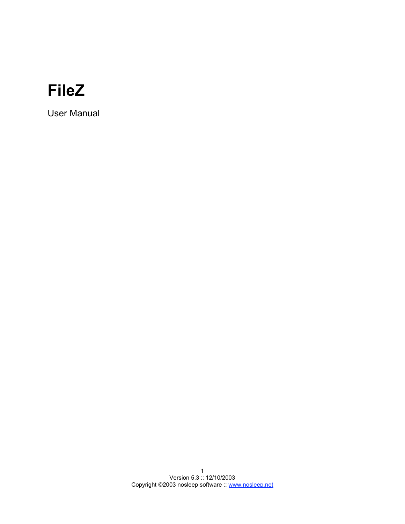# **FileZ**

User Manual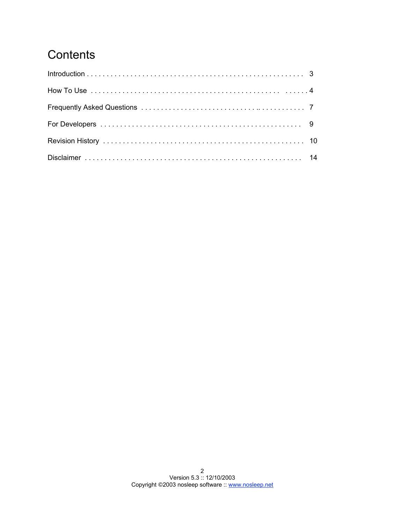## **Contents**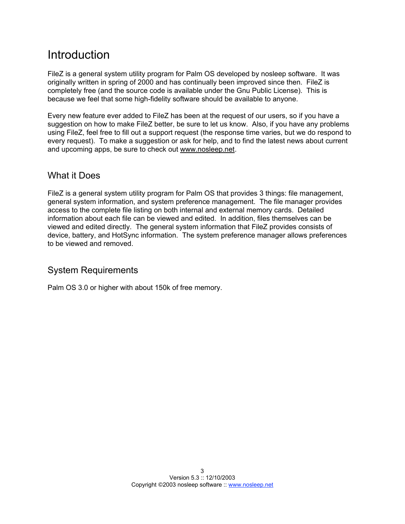## Introduction

FileZ is a general system utility program for Palm OS developed by nosleep software. It was originally written in spring of 2000 and has continually been improved since then. FileZ is completely free (and the source code is available under the Gnu Public License). This is because we feel that some high-fidelity software should be available to anyone.

Every new feature ever added to FileZ has been at the request of our users, so if you have a suggestion on how to make FileZ better, be sure to let us know. Also, if you have any problems using FileZ, feel free to fill out a support request (the response time varies, but we do respond to every request). To make a suggestion or ask for help, and to find the latest news about current and upcoming apps, be sure to check out www.nosleep.net.

### What it Does

FileZ is a general system utility program for Palm OS that provides 3 things: file management, general system information, and system preference management. The file manager provides access to the complete file listing on both internal and external memory cards. Detailed information about each file can be viewed and edited. In addition, files themselves can be viewed and edited directly. The general system information that FileZ provides consists of device, battery, and HotSync information. The system preference manager allows preferences to be viewed and removed.

## System Requirements

Palm OS 3.0 or higher with about 150k of free memory.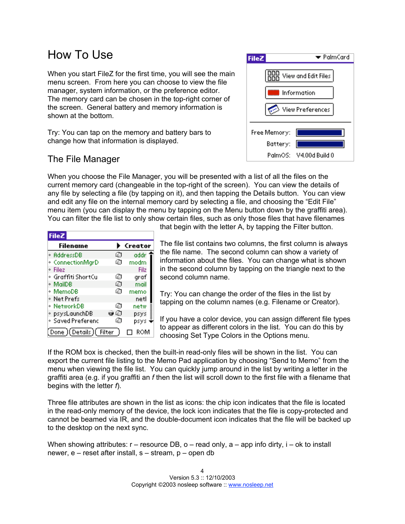## How To Use

When you start FileZ for the first time, you will see the main menu screen. From here you can choose to view the file manager, system information, or the preference editor. The memory card can be chosen in the top-right corner of the screen. General battery and memory information is shown at the bottom.

Try: You can tap on the memory and battery bars to change how that information is displayed.

## The File Manager

When you choose the File Manager, you will be presented with a list of all the files on the current memory card (changeable in the top-right of the screen). You can view the details of any file by selecting a file (by tapping on it), and then tapping the Details button. You can view and edit any file on the internal memory card by selecting a file, and choosing the "Edit File" menu item (you can display the menu by tapping on the Menu button down by the graffiti area). You can filter the file list to only show certain files, such as only those files that have filenames

| <b>FileZ</b>           |    |         |
|------------------------|----|---------|
| Filename               |    | Creator |
| * AddressDB            | 硇  | addr    |
| * ConnectionMgrD       | ø  | modm    |
| * Filez                |    | Filz    |
| ∘ Graffiti ShortCu     | ©  | graf    |
| ∗ MailDB               | Ø  | mail    |
| * MemoDB               | G. | memo    |
| * Net Prefs            |    | netl    |
| * NetworkDB            | ø  | netw    |
| * psysLaunchDB         | οø | psys    |
| * Saved Preferenc      | ø  | psys    |
| (Done)(Details)(Filter |    | ROM     |

that begin with the letter A, by tapping the Filter button.

The file list contains two columns, the first column is always the file name. The second column can show a variety of information about the files. You can change what is shown in the second column by tapping on the triangle next to the second column name.

Try: You can change the order of the files in the list by tapping on the column names (e.g. Filename or Creator).

If you have a color device, you can assign different file types to appear as different colors in the list. You can do this by choosing Set Type Colors in the Options menu.

If the ROM box is checked, then the built-in read-only files will be shown in the list. You can export the current file listing to the Memo Pad application by choosing "Send to Memo" from the menu when viewing the file list. You can quickly jump around in the list by writing a letter in the graffiti area (e.g. if you graffiti an *f* then the list will scroll down to the first file with a filename that begins with the letter *f*).

Three file attributes are shown in the list as icons: the chip icon indicates that the file is located in the read-only memory of the device, the lock icon indicates that the file is copy-protected and cannot be beamed via IR, and the double-document icon indicates that the file will be backed up to the desktop on the next sync.

When showing attributes:  $r -$  resource DB, o – read only,  $a -$  app info dirty,  $i -$  ok to install newer, e – reset after install, s – stream, p – open db

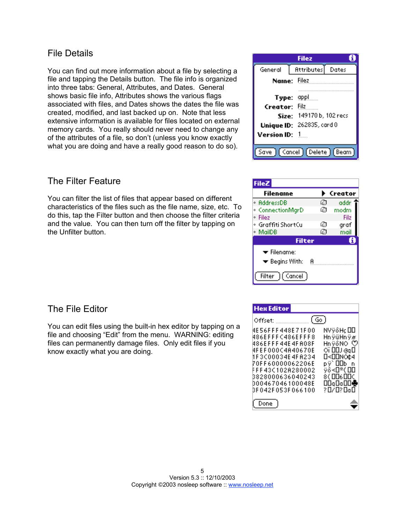### File Details

You can find out more information about a file by selecting a file and tapping the Details button. The file info is organized into three tabs: General, Attributes, and Dates. General shows basic file info, Attributes shows the various flags associated with files, and Dates shows the dates the file was created, modified, and last backed up on. Note that less extensive information is available for files located on external memory cards. You really should never need to change any of the attributes of a file, so don't (unless you know exactly what you are doing and have a really good reason to do so).

### The Filter Feature

You can filter the list of files that appear based on different characteristics of the files such as the file name, size, etc. To do this, tap the Filter button and then choose the filter criteria and the value. You can then turn off the filter by tapping on the Unfilter button.

### The File Editor

You can edit files using the built-in hex editor by tapping on a file and choosing "Edit" from the menu. WARNING: editing files can permanently damage files. Only edit files if you know exactly what you are doing.

|                 | Filez                           |
|-----------------|---------------------------------|
| General         | <b>Attributes</b> Dates         |
| Name: Filez     |                                 |
| Type: appl      |                                 |
| Creator: Filz   |                                 |
|                 | Size: 149170b, 102 recs         |
|                 | Unique ID: 262835, card 0       |
| Version ID: $1$ |                                 |
|                 | Save ) (Cancel) (Delete) (Beam) |

| <b>FileZ</b>                                                          |    |         |
|-----------------------------------------------------------------------|----|---------|
| Filename                                                              |    | Creator |
| * AddressDB                                                           | 的  | addr    |
| ConnectionMgrD<br>۰                                                   | 囨  | modm    |
| Filez<br>۰                                                            |    | Filz    |
| ∘ Graffiti ShortCu                                                    | G٦ | graf    |
| ◆ MailDB                                                              | മ  | mail    |
| <b>Filter</b>                                                         |    |         |
| $\blacktriangleright$ Filename:<br>$\blacktriangleright$ Begins With: |    |         |
| [ Cancel ]<br>Filter                                                  |    |         |

| <b>Hex Editor</b>                                                                                                                                                                                          |                                                                                                                          |
|------------------------------------------------------------------------------------------------------------------------------------------------------------------------------------------------------------|--------------------------------------------------------------------------------------------------------------------------|
| (Go)<br>Offset: ___________                                                                                                                                                                                |                                                                                                                          |
| 4E 56F F F 448E 71F 00<br>486EFFFC486EFFF8<br>486EFFF44E4FA08F<br>4FEF000C4A40670E<br>1F3C00034E4FA234<br>70FF60000062206E<br>FFF43C102A280002<br>3828000636040243<br>000467046100048E<br>3F042F053F066100 | NVÿôH¢ OO<br>HnÿüHnÿø<br>HnÿôNO ♡<br>் 100 வு<br>0<00NO¢4<br>pÿ`OOb n<br>ÿô≺O*(OO<br>8 ( ОО6 ООС<br>ODqDoOD♣<br>?0/0?0a0 |
|                                                                                                                                                                                                            |                                                                                                                          |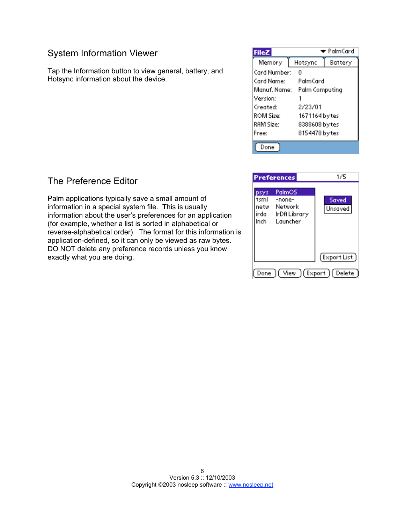### System Information Viewer

Tap the Information button to view general, battery, and Hotsync information about the device.

| <b>FileZ</b> |                | $\blacktriangleright$ PalmCard |
|--------------|----------------|--------------------------------|
| Memory       | Hotsync        | Battery                        |
| Card Number: | Ū              |                                |
| Card Name:   | PalmCard       |                                |
| Manuf, Name: | Palm Computing |                                |
| Version:     |                |                                |
| Created:     | 2/23/01        |                                |
| ROM Size:    | 1671164 bytes  |                                |
| RAM Size:    | 8388608 by tes |                                |
| Free:        | 8154478 by tes |                                |
|              |                |                                |



## The Preference Editor

Palm applications typically save a small amount of information in a special system file. This is usually information about the user's preferences for an application (for example, whether a list is sorted in alphabetical or reverse-alphabetical order). The format for this information is application-defined, so it can only be viewed as raw bytes. DO NOT delete any preference records unless you know exactly what you are doing.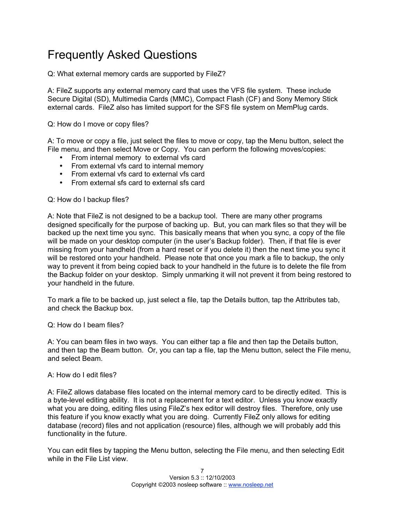## Frequently Asked Questions

Q: What external memory cards are supported by FileZ?

A: FileZ supports any external memory card that uses the VFS file system. These include Secure Digital (SD), Multimedia Cards (MMC), Compact Flash (CF) and Sony Memory Stick external cards. FileZ also has limited support for the SFS file system on MemPlug cards.

Q: How do I move or copy files?

A: To move or copy a file, just select the files to move or copy, tap the Menu button, select the File menu, and then select Move or Copy. You can perform the following moves/copies:

- From internal memory to external vfs card
- From external vfs card to internal memory
- From external vfs card to external vfs card
- From external sfs card to external sfs card

Q: How do I backup files?

A: Note that FileZ is not designed to be a backup tool. There are many other programs designed specifically for the purpose of backing up. But, you can mark files so that they will be backed up the next time you sync. This basically means that when you sync, a copy of the file will be made on your desktop computer (in the user's Backup folder). Then, if that file is ever missing from your handheld (from a hard reset or if you delete it) then the next time you sync it will be restored onto your handheld. Please note that once you mark a file to backup, the only way to prevent it from being copied back to your handheld in the future is to delete the file from the Backup folder on your desktop. Simply unmarking it will not prevent it from being restored to your handheld in the future.

To mark a file to be backed up, just select a file, tap the Details button, tap the Attributes tab, and check the Backup box.

Q: How do I beam files?

A: You can beam files in two ways. You can either tap a file and then tap the Details button, and then tap the Beam button. Or, you can tap a file, tap the Menu button, select the File menu, and select Beam.

#### A: How do I edit files?

A: FileZ allows database files located on the internal memory card to be directly edited. This is a byte-level editing ability. It is not a replacement for a text editor. Unless you know exactly what you are doing, editing files using FileZ's hex editor will destroy files. Therefore, only use this feature if you know exactly what you are doing. Currently FileZ only allows for editing database (record) files and not application (resource) files, although we will probably add this functionality in the future.

You can edit files by tapping the Menu button, selecting the File menu, and then selecting Edit while in the File List view.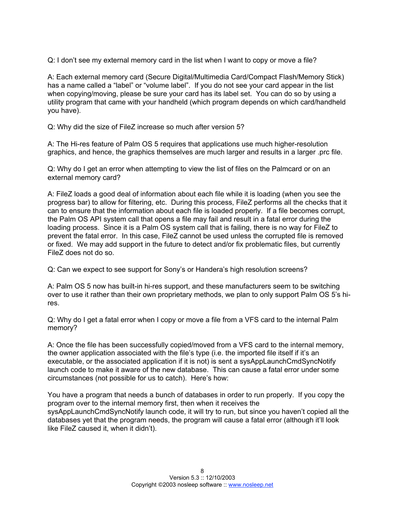Q: I don't see my external memory card in the list when I want to copy or move a file?

A: Each external memory card (Secure Digital/Multimedia Card/Compact Flash/Memory Stick) has a name called a "label" or "volume label". If you do not see your card appear in the list when copying/moving, please be sure your card has its label set. You can do so by using a utility program that came with your handheld (which program depends on which card/handheld you have).

Q: Why did the size of FileZ increase so much after version 5?

A: The Hi-res feature of Palm OS 5 requires that applications use much higher-resolution graphics, and hence, the graphics themselves are much larger and results in a larger .prc file.

Q: Why do I get an error when attempting to view the list of files on the Palmcard or on an external memory card?

A: FileZ loads a good deal of information about each file while it is loading (when you see the progress bar) to allow for filtering, etc. During this process, FileZ performs all the checks that it can to ensure that the information about each file is loaded properly. If a file becomes corrupt, the Palm OS API system call that opens a file may fail and result in a fatal error during the loading process. Since it is a Palm OS system call that is failing, there is no way for FileZ to prevent the fatal error. In this case, FileZ cannot be used unless the corrupted file is removed or fixed. We may add support in the future to detect and/or fix problematic files, but currently FileZ does not do so.

Q: Can we expect to see support for Sony's or Handera's high resolution screens?

A: Palm OS 5 now has built-in hi-res support, and these manufacturers seem to be switching over to use it rather than their own proprietary methods, we plan to only support Palm OS 5's hires.

Q: Why do I get a fatal error when I copy or move a file from a VFS card to the internal Palm memory?

A: Once the file has been successfully copied/moved from a VFS card to the internal memory, the owner application associated with the file's type (i.e. the imported file itself if it's an executable, or the associated application if it is not) is sent a sysAppLaunchCmdSyncNotify launch code to make it aware of the new database. This can cause a fatal error under some circumstances (not possible for us to catch). Here's how:

You have a program that needs a bunch of databases in order to run properly. If you copy the program over to the internal memory first, then when it receives the sysAppLaunchCmdSyncNotify launch code, it will try to run, but since you haven't copied all the databases yet that the program needs, the program will cause a fatal error (although it'll look like FileZ caused it, when it didn't).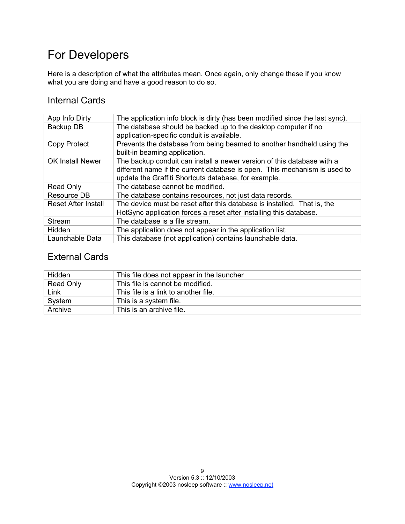## For Developers

Here is a description of what the attributes mean. Once again, only change these if you know what you are doing and have a good reason to do so.

### Internal Cards

| App Info Dirty             | The application info block is dirty (has been modified since the last sync).                                                                                                                                |
|----------------------------|-------------------------------------------------------------------------------------------------------------------------------------------------------------------------------------------------------------|
| Backup DB                  | The database should be backed up to the desktop computer if no<br>application-specific conduit is available.                                                                                                |
| Copy Protect               | Prevents the database from being beamed to another handheld using the<br>built-in beaming application.                                                                                                      |
| <b>OK Install Newer</b>    | The backup conduit can install a newer version of this database with a<br>different name if the current database is open. This mechanism is used to<br>update the Graffiti Shortcuts database, for example. |
| Read Only                  | The database cannot be modified.                                                                                                                                                                            |
| Resource DB                | The database contains resources, not just data records.                                                                                                                                                     |
| <b>Reset After Install</b> | The device must be reset after this database is installed. That is, the<br>HotSync application forces a reset after installing this database.                                                               |
| Stream                     | The database is a file stream.                                                                                                                                                                              |
| Hidden                     | The application does not appear in the application list.                                                                                                                                                    |
| Launchable Data            | This database (not application) contains launchable data.                                                                                                                                                   |

## External Cards

| Hidden    | This file does not appear in the launcher |
|-----------|-------------------------------------------|
| Read Only | This file is cannot be modified.          |
| Link      | This file is a link to another file.      |
| System    | This is a system file.                    |
| Archive   | This is an archive file.                  |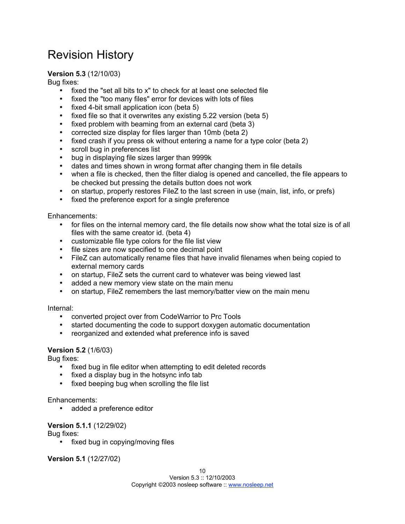## Revision History

#### **Version 5.3** (12/10/03)

Bug fixes:

- fixed the "set all bits to x" to check for at least one selected file
- fixed the "too many files" error for devices with lots of files
- fixed 4-bit small application icon (beta 5)
- fixed file so that it overwrites any existing 5.22 version (beta 5)
- fixed problem with beaming from an external card (beta 3)
- corrected size display for files larger than 10mb (beta 2)
- fixed crash if you press ok without entering a name for a type color (beta 2)
- scroll bug in preferences list
- bug in displaying file sizes larger than 9999k
- dates and times shown in wrong format after changing them in file details
- when a file is checked, then the filter dialog is opened and cancelled, the file appears to be checked but pressing the details button does not work
- on startup, properly restores FileZ to the last screen in use (main, list, info, or prefs)
- fixed the preference export for a single preference

Enhancements:

- for files on the internal memory card, the file details now show what the total size is of all files with the same creator id. (beta 4)
- customizable file type colors for the file list view
- file sizes are now specified to one decimal point
- FileZ can automatically rename files that have invalid filenames when being copied to external memory cards
- on startup, FileZ sets the current card to whatever was being viewed last
- added a new memory view state on the main menu
- on startup, FileZ remembers the last memory/batter view on the main menu

Internal:

- converted project over from CodeWarrior to Prc Tools
- started documenting the code to support doxygen automatic documentation
- reorganized and extended what preference info is saved

#### **Version 5.2** (1/6/03)

Bug fixes:

- fixed bug in file editor when attempting to edit deleted records
- fixed a display bug in the hotsync info tab
- fixed beeping bug when scrolling the file list

#### Enhancements:

• added a preference editor

#### **Version 5.1.1** (12/29/02)

Bug fixes:

• fixed bug in copying/moving files

**Version 5.1** (12/27/02)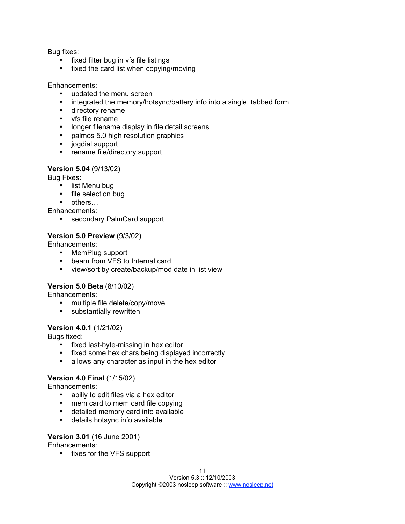Bug fixes:

- fixed filter bug in vfs file listings
- fixed the card list when copying/moving

#### Enhancements:

- updated the menu screen
- integrated the memory/hotsync/battery info into a single, tabbed form
- directory rename
- vfs file rename
- longer filename display in file detail screens
- palmos 5.0 high resolution graphics
- jogdial support
- rename file/directory support

#### **Version 5.04** (9/13/02)

Bug Fixes:

- list Menu bug
- file selection bug
- others…

Enhancements:

• secondary PalmCard support

#### **Version 5.0 Preview** (9/3/02)

Enhancements:

- MemPlug support
- beam from VFS to Internal card
- view/sort by create/backup/mod date in list view

#### **Version 5.0 Beta** (8/10/02)

Enhancements:

- multiple file delete/copy/move
- substantially rewritten

#### **Version 4.0.1** (1/21/02)

Bugs fixed:

- fixed last-byte-missing in hex editor
- fixed some hex chars being displayed incorrectly
- allows any character as input in the hex editor

#### **Version 4.0 Final** (1/15/02)

Enhancements:

- abiliy to edit files via a hex editor
- mem card to mem card file copying
- detailed memory card info available
- details hotsync info available

#### **Version 3.01** (16 June 2001)

Enhancements:

• fixes for the VFS support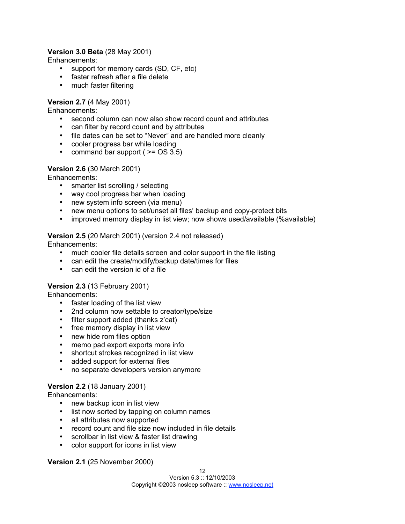#### **Version 3.0 Beta** (28 May 2001)

Enhancements:

- support for memory cards (SD, CF, etc)
- faster refresh after a file delete
- much faster filtering

#### **Version 2.7** (4 May 2001)

Enhancements:

- second column can now also show record count and attributes
- can filter by record count and by attributes
- file dates can be set to "Never" and are handled more cleanly
- cooler progress bar while loading
- command bar support ( $>=$  OS 3.5)

#### **Version 2.6** (30 March 2001)

Enhancements:

- smarter list scrolling / selecting
- way cool progress bar when loading
- new system info screen (via menu)
- new menu options to set/unset all files' backup and copy-protect bits
- improved memory display in list view; now shows used/available (%available)

#### **Version 2.5** (20 March 2001) (version 2.4 not released)

Enhancements:

- much cooler file details screen and color support in the file listing
- can edit the create/modify/backup date/times for files
- can edit the version id of a file

#### **Version 2.3** (13 February 2001)

Enhancements:

- faster loading of the list view
- 2nd column now settable to creator/type/size
- filter support added (thanks z'cat)
- free memory display in list view
- new hide rom files option
- memo pad export exports more info
- shortcut strokes recognized in list view
- added support for external files
- no separate developers version anymore

#### **Version 2.2** (18 January 2001)

Enhancements:

- new backup icon in list view
- list now sorted by tapping on column names
- all attributes now supported
- record count and file size now included in file details
- scrollbar in list view & faster list drawing
- color support for icons in list view

**Version 2.1** (25 November 2000)

12

Version 5.3 :: 12/10/2003 Copyright ©2003 nosleep software :: www.nosleep.net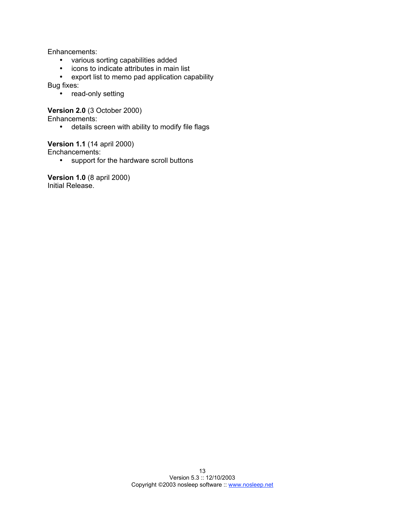Enhancements:

- various sorting capabilities added
- icons to indicate attributes in main list
- export list to memo pad application capability

Bug fixes:

• read-only setting

**Version 2.0** (3 October 2000)

Enhancements:

• details screen with ability to modify file flags

#### **Version 1.1** (14 april 2000)

Enchancements:

• support for the hardware scroll buttons

**Version 1.0** (8 april 2000) Initial Release.